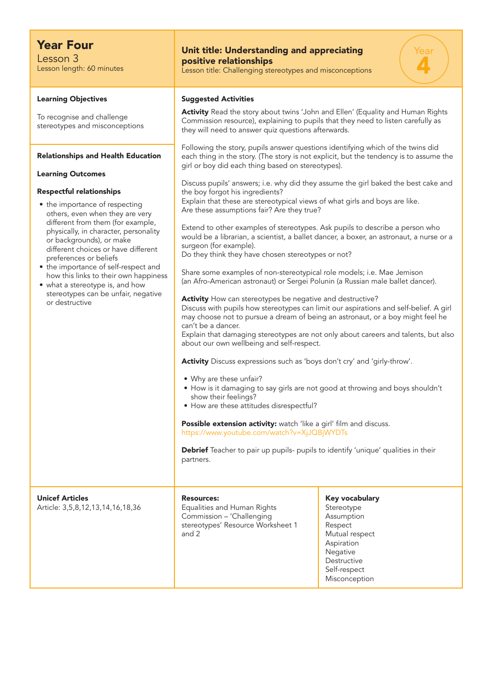| <b>Year Four</b><br>Lesson 3<br>Lesson length: 60 minutes                                                                                                                                                                                                                                                                                                                                                                                                                                                                                                                                                                           | Unit title: Understanding and appreciating<br>positive relationships<br>Lesson title: Challenging stereotypes and misconceptions                                                                                                                                                                                                                                                                                                                                                                                                                                                                                                                                                                                                                                                                                                                                                                                                                                                                                                                                                                                                                                                                                                                                                                                                                                                                                                                                                                                                                                                                                                                                                                                                                                                                                                                                                                                                                                                                                                                |                                                                                                                                                   |
|-------------------------------------------------------------------------------------------------------------------------------------------------------------------------------------------------------------------------------------------------------------------------------------------------------------------------------------------------------------------------------------------------------------------------------------------------------------------------------------------------------------------------------------------------------------------------------------------------------------------------------------|-------------------------------------------------------------------------------------------------------------------------------------------------------------------------------------------------------------------------------------------------------------------------------------------------------------------------------------------------------------------------------------------------------------------------------------------------------------------------------------------------------------------------------------------------------------------------------------------------------------------------------------------------------------------------------------------------------------------------------------------------------------------------------------------------------------------------------------------------------------------------------------------------------------------------------------------------------------------------------------------------------------------------------------------------------------------------------------------------------------------------------------------------------------------------------------------------------------------------------------------------------------------------------------------------------------------------------------------------------------------------------------------------------------------------------------------------------------------------------------------------------------------------------------------------------------------------------------------------------------------------------------------------------------------------------------------------------------------------------------------------------------------------------------------------------------------------------------------------------------------------------------------------------------------------------------------------------------------------------------------------------------------------------------------------|---------------------------------------------------------------------------------------------------------------------------------------------------|
| <b>Learning Objectives</b><br>To recognise and challenge<br>stereotypes and misconceptions<br><b>Relationships and Health Education</b><br><b>Learning Outcomes</b><br><b>Respectful relationships</b><br>• the importance of respecting<br>others, even when they are very<br>different from them (for example,<br>physically, in character, personality<br>or backgrounds), or make<br>different choices or have different<br>preferences or beliefs<br>• the importance of self-respect and<br>how this links to their own happiness<br>• what a stereotype is, and how<br>stereotypes can be unfair, negative<br>or destructive | <b>Suggested Activities</b><br>Activity Read the story about twins 'John and Ellen' (Equality and Human Rights<br>Commission resource), explaining to pupils that they need to listen carefully as<br>they will need to answer quiz questions afterwards.<br>Following the story, pupils answer questions identifying which of the twins did<br>each thing in the story. (The story is not explicit, but the tendency is to assume the<br>girl or boy did each thing based on stereotypes).<br>Discuss pupils' answers; i.e. why did they assume the girl baked the best cake and<br>the boy forgot his ingredients?<br>Explain that these are stereotypical views of what girls and boys are like.<br>Are these assumptions fair? Are they true?<br>Extend to other examples of stereotypes. Ask pupils to describe a person who<br>would be a librarian, a scientist, a ballet dancer, a boxer, an astronaut, a nurse or a<br>surgeon (for example).<br>Do they think they have chosen stereotypes or not?<br>Share some examples of non-stereotypical role models; i.e. Mae Jemison<br>(an Afro-American astronaut) or Sergei Polunin (a Russian male ballet dancer).<br>Activity How can stereotypes be negative and destructive?<br>Discuss with pupils how stereotypes can limit our aspirations and self-belief. A girl<br>may choose not to pursue a dream of being an astronaut, or a boy might feel he<br>can't be a dancer.<br>Explain that damaging stereotypes are not only about careers and talents, but also<br>about our own wellbeing and self-respect.<br>Activity Discuss expressions such as 'boys don't cry' and 'girly-throw'.<br>• Why are these unfair?<br>• How is it damaging to say girls are not good at throwing and boys shouldn't<br>show their feelings?<br>• How are these attitudes disrespectful?<br>Possible extension activity: watch 'like a girl' film and discuss.<br>https://www.youtube.com/watch?v=XjJQBjWYDTs<br>Debrief Teacher to pair up pupils- pupils to identify 'unique' qualities in their |                                                                                                                                                   |
| <b>Unicef Articles</b><br>Article: 3,5,8,12,13,14,16,18,36                                                                                                                                                                                                                                                                                                                                                                                                                                                                                                                                                                          | <b>Resources:</b><br>Equalities and Human Rights<br>Commission - 'Challenging<br>stereotypes' Resource Worksheet 1<br>and 2                                                                                                                                                                                                                                                                                                                                                                                                                                                                                                                                                                                                                                                                                                                                                                                                                                                                                                                                                                                                                                                                                                                                                                                                                                                                                                                                                                                                                                                                                                                                                                                                                                                                                                                                                                                                                                                                                                                     | Key vocabulary<br>Stereotype<br>Assumption<br>Respect<br>Mutual respect<br>Aspiration<br>Negative<br>Destructive<br>Self-respect<br>Misconception |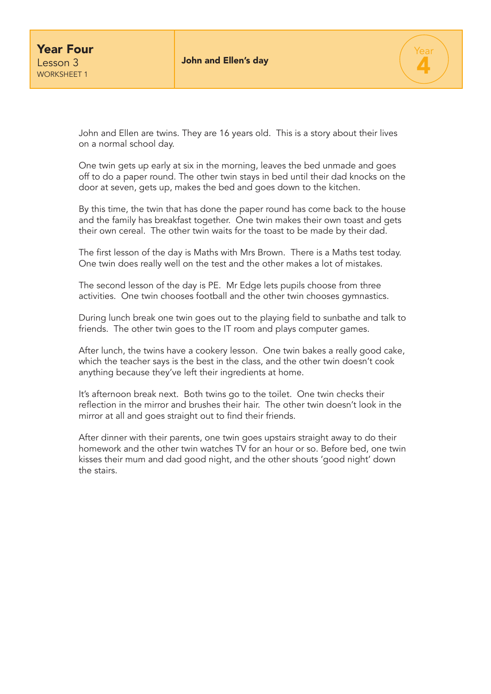

John and Ellen are twins. They are 16 years old. This is a story about their lives on a normal school day.

One twin gets up early at six in the morning, leaves the bed unmade and goes off to do a paper round. The other twin stays in bed until their dad knocks on the door at seven, gets up, makes the bed and goes down to the kitchen.

By this time, the twin that has done the paper round has come back to the house and the family has breakfast together. One twin makes their own toast and gets their own cereal. The other twin waits for the toast to be made by their dad.

The first lesson of the day is Maths with Mrs Brown. There is a Maths test today. One twin does really well on the test and the other makes a lot of mistakes.

The second lesson of the day is PE. Mr Edge lets pupils choose from three activities. One twin chooses football and the other twin chooses gymnastics.

During lunch break one twin goes out to the playing field to sunbathe and talk to friends. The other twin goes to the IT room and plays computer games.

After lunch, the twins have a cookery lesson. One twin bakes a really good cake, which the teacher says is the best in the class, and the other twin doesn't cook anything because they've left their ingredients at home.

It's afternoon break next. Both twins go to the toilet. One twin checks their reflection in the mirror and brushes their hair. The other twin doesn't look in the mirror at all and goes straight out to find their friends.

After dinner with their parents, one twin goes upstairs straight away to do their homework and the other twin watches TV for an hour or so. Before bed, one twin kisses their mum and dad good night, and the other shouts 'good night' down the stairs.